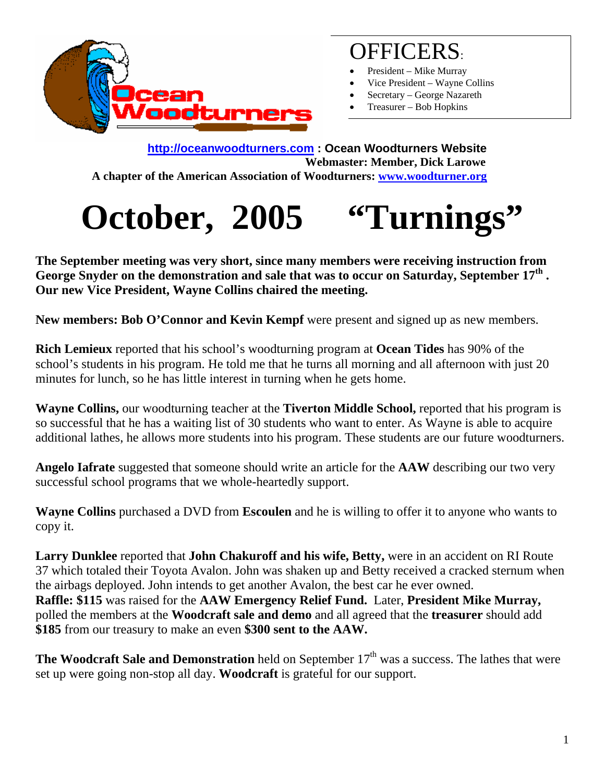

# OFFICERS:

- President Mike Murray
- Vice President Wayne Collins
- Secretary George Nazareth
- Treasurer Bob Hopkins

**http://oceanwoodturners.com : Ocean Woodturners Website Webmaster: Member, Dick Larowe A chapter of the American Association of Woodturners: www.woodturner.org** 

# **October, 2005 "Turnings"**

**The September meeting was very short, since many members were receiving instruction from George Snyder on the demonstration and sale that was to occur on Saturday, September 17th . Our new Vice President, Wayne Collins chaired the meeting.** 

New members: Bob O'Connor and Kevin Kempf were present and signed up as new members.

**Rich Lemieux** reported that his school's woodturning program at **Ocean Tides** has 90% of the school's students in his program. He told me that he turns all morning and all afternoon with just 20 minutes for lunch, so he has little interest in turning when he gets home.

**Wayne Collins,** our woodturning teacher at the **Tiverton Middle School,** reported that his program is so successful that he has a waiting list of 30 students who want to enter. As Wayne is able to acquire additional lathes, he allows more students into his program. These students are our future woodturners.

**Angelo Iafrate** suggested that someone should write an article for the **AAW** describing our two very successful school programs that we whole-heartedly support.

**Wayne Collins** purchased a DVD from **Escoulen** and he is willing to offer it to anyone who wants to copy it.

Larry Dunklee reported that **John Chakuroff and his wife, Betty,** were in an accident on RI Route 37 which totaled their Toyota Avalon. John was shaken up and Betty received a cracked sternum when the airbags deployed. John intends to get another Avalon, the best car he ever owned. **Raffle: \$115** was raised for the **AAW Emergency Relief Fund.** Later, **President Mike Murray,**  polled the members at the **Woodcraft sale and demo** and all agreed that the **treasurer** should add **\$185** from our treasury to make an even **\$300 sent to the AAW.** 

**The Woodcraft Sale and Demonstration** held on September 17<sup>th</sup> was a success. The lathes that were set up were going non-stop all day. **Woodcraft** is grateful for our support.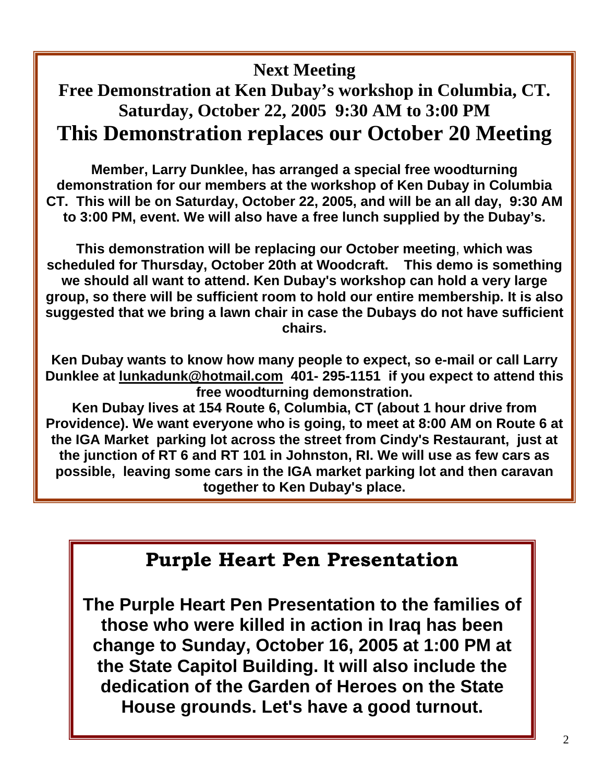#### **Next Meeting**

## **Free Demonstration at Ken Dubay's workshop in Columbia, CT. Saturday, October 22, 2005 9:30 AM to 3:00 PM This Demonstration replaces our October 20 Meeting**

**Member, Larry Dunklee, has arranged a special free woodturning demonstration for our members at the workshop of Ken Dubay in Columbia CT. This will be on Saturday, October 22, 2005, and will be an all day, 9:30 AM to 3:00 PM, event. We will also have a free lunch supplied by the Dubay's.**

**This demonstration will be replacing our October meeting**, **which was scheduled for Thursday, October 20th at Woodcraft. This demo is something we should all want to attend. Ken Dubay's workshop can hold a very large group, so there will be sufficient room to hold our entire membership. It is also suggested that we bring a lawn chair in case the Dubays do not have sufficient chairs.**

**Ken Dubay wants to know how many people to expect, so e-mail or call Larry Dunklee at lunkadunk@hotmail.com 401- 295-1151 if you expect to attend this free woodturning demonstration.**

**Ken Dubay lives at 154 Route 6, Columbia, CT (about 1 hour drive from Providence). We want everyone who is going, to meet at 8:00 AM on Route 6 at the IGA Market parking lot across the street from Cindy's Restaurant, just at the junction of RT 6 and RT 101 in Johnston, RI. We will use as few cars as possible, leaving some cars in the IGA market parking lot and then caravan together to Ken Dubay's place.**

### **Purple Heart Pen Presentation**

**The Purple Heart Pen Presentation to the families of those who were killed in action in Iraq has been change to Sunday, October 16, 2005 at 1:00 PM at the State Capitol Building. It will also include the dedication of the Garden of Heroes on the State House grounds. Let's have a good turnout.**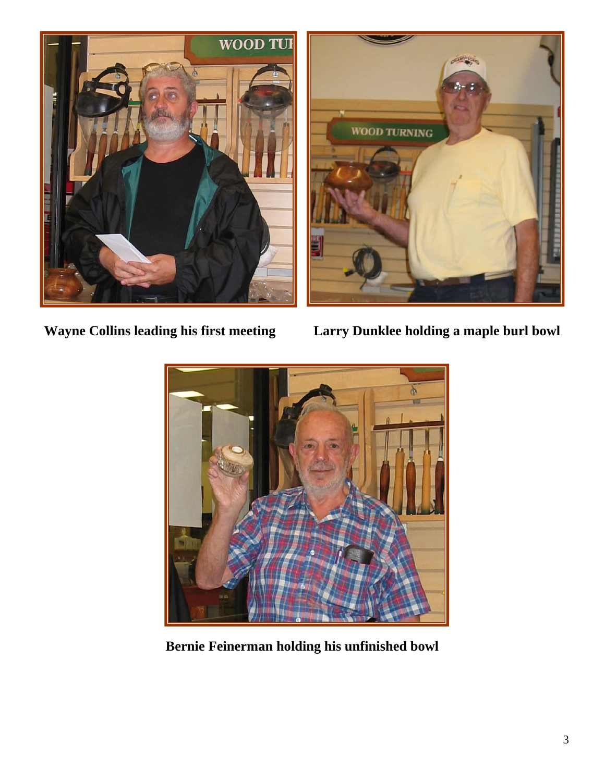



**Wayne Collins leading his first meeting Larry Dunklee holding a maple burl bowl** 



**Bernie Feinerman holding his unfinished bowl**